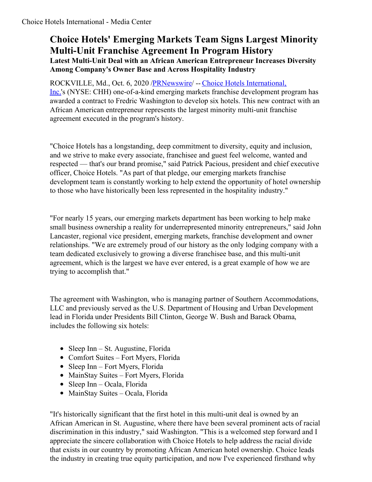## **Choice Hotels' Emerging Markets Team Signs Largest Minority Multi-Unit Franchise Agreement In Program History Latest Multi-Unit Deal with an African American Entrepreneur Increases Diversity Among Company's Owner Base and Across Hospitality Industry**

[ROCKVILLE,](https://c212.net/c/link/?t=0&l=en&o=2941385-1&h=1566234777&u=https%3A%2F%2Fwww.choicehotels.com%2F&a=Choice+Hotels+International%2C+Inc.) Md., Oct. 6, 2020 [/PRNewswire](http://www.prnewswire.com/)/ -- Choice Hotels International, Inc.'s (NYSE: CHH) one-of-a-kind emerging markets franchise development program has awarded a contract to Fredric Washington to develop six hotels. This new contract with an African American entrepreneur represents the largest minority multi-unit franchise agreement executed in the program's history.

"Choice Hotels has a longstanding, deep commitment to diversity, equity and inclusion, and we strive to make every associate, franchisee and guest feel welcome, wanted and respected — that's our brand promise," said Patrick Pacious, president and chief executive officer, Choice Hotels. "As part of that pledge, our emerging markets franchise development team is constantly working to help extend the opportunity of hotel ownership to those who have historically been less represented in the hospitality industry."

"For nearly 15 years, our emerging markets department has been working to help make small business ownership a reality for underrepresented minority entrepreneurs," said John Lancaster, regional vice president, emerging markets, franchise development and owner relationships. "We are extremely proud of our history as the only lodging company with a team dedicated exclusively to growing a diverse franchisee base, and this multi-unit agreement, which is the largest we have ever entered, is a great example of how we are trying to accomplish that."

The agreement with Washington, who is managing partner of Southern Accommodations, LLC and previously served as the U.S. Department of Housing and Urban Development lead in Florida under Presidents Bill Clinton, George W. Bush and Barack Obama, includes the following six hotels:

- Sleep Inn St. Augustine, Florida
- Comfort Suites Fort Myers, Florida
- Sleep Inn Fort Myers, Florida
- MainStay Suites Fort Myers, Florida
- Sleep  $Inn Ocala$ , Florida
- MainStay Suites Ocala, Florida

"It's historically significant that the first hotel in this multi-unit deal is owned by an African American in St. Augustine, where there have been several prominent acts of racial discrimination in this industry," said Washington. "This is a welcomed step forward and I appreciate the sincere collaboration with Choice Hotels to help address the racial divide that exists in our country by promoting African American hotel ownership. Choice leads the industry in creating true equity participation, and now I've experienced firsthand why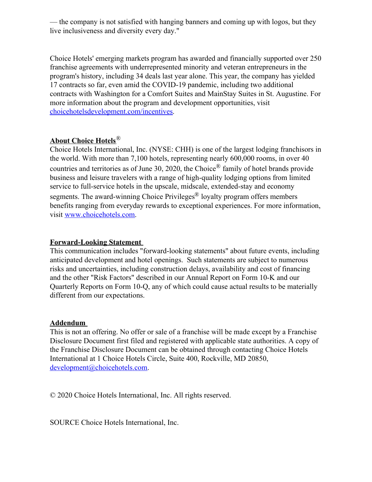— the company is not satisfied with hanging banners and coming up with logos, but they live inclusiveness and diversity every day."

Choice Hotels' emerging markets program has awarded and financially supported over 250 franchise agreements with underrepresented minority and veteran entrepreneurs in the program's history, including 34 deals last year alone. This year, the company has yielded 17 contracts so far, even amid the COVID-19 pandemic, including two additional contracts with Washington for a Comfort Suites and MainStay Suites in St. Augustine. For more information about the program and development opportunities, visit [choicehotelsdevelopment.com/incentives](https://c212.net/c/link/?t=0&l=en&o=2941385-1&h=212827147&u=https%3A%2F%2Fchoicehotelsdevelopment.com%2Fincentives%3Futm_source%3Dmedia_center%26utm_medium%3Dreferral%2520%26utm_term%3Dpress_release%26utm_content%3Ddevelopment%26utm_campaign%3Dorganic&a=choicehotelsdevelopment.com%2Fincentives).

## **About Choice Hotels**®

Choice Hotels International, Inc. (NYSE: CHH) is one of the largest lodging franchisors in the world. With more than 7,100 hotels, representing nearly 600,000 rooms, in over 40 countries and territories as of June 30, 2020, the Choice<sup>®</sup> family of hotel brands provide business and leisure travelers with a range of high-quality lodging options from limited service to full-service hotels in the upscale, midscale, extended-stay and economy segments. The award-winning Choice Privileges<sup>®</sup> loyalty program offers members benefits ranging from everyday rewards to exceptional experiences. For more information, visit [www.choicehotels.com](https://c212.net/c/link/?t=0&l=en&o=2941385-1&h=2908852404&u=http%3A%2F%2Fwww.choicehotels.com%2F&a=www.choicehotels.com).

## **Forward-Looking Statement**

This communication includes "forward-looking statements" about future events, including anticipated development and hotel openings. Such statements are subject to numerous risks and uncertainties, including construction delays, availability and cost of financing and the other "Risk Factors" described in our Annual Report on Form 10-K and our Quarterly Reports on Form 10-Q, any of which could cause actual results to be materially different from our expectations.

## **Addendum**

This is not an offering. No offer or sale of a franchise will be made except by a Franchise Disclosure Document first filed and registered with applicable state authorities. A copy of the Franchise Disclosure Document can be obtained through contacting Choice Hotels International at 1 Choice Hotels Circle, Suite 400, Rockville, MD 20850, [development@choicehotels.com](mailto:development@choicehotels.com).

© 2020 Choice Hotels International, Inc. All rights reserved.

SOURCE Choice Hotels International, Inc.